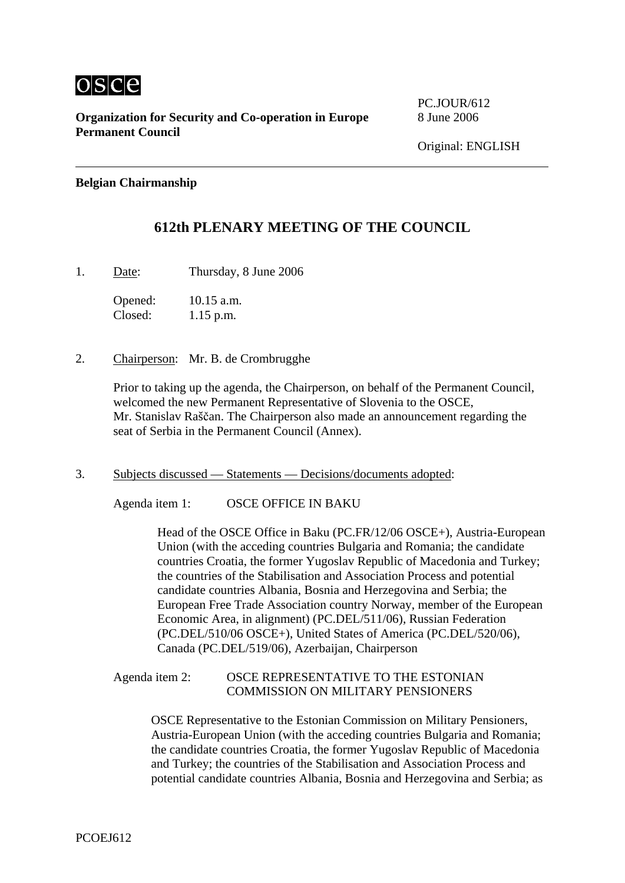

**Organization for Security and Co-operation in Europe** 8 June 2006 **Permanent Council** 

PC.JOUR/612

### **Belgian Chairmanship**

# **612th PLENARY MEETING OF THE COUNCIL**

1. Date: Thursday, 8 June 2006

Opened: 10.15 a.m. Closed: 1.15 p.m.

2. Chairperson: Mr. B. de Crombrugghe

Prior to taking up the agenda, the Chairperson, on behalf of the Permanent Council, welcomed the new Permanent Representative of Slovenia to the OSCE, Mr. Stanislav Raščan. The Chairperson also made an announcement regarding the seat of Serbia in the Permanent Council (Annex).

3. Subjects discussed — Statements — Decisions/documents adopted:

Agenda item 1: OSCE OFFICE IN BAKU

Head of the OSCE Office in Baku (PC.FR/12/06 OSCE+), Austria-European Union (with the acceding countries Bulgaria and Romania; the candidate countries Croatia, the former Yugoslav Republic of Macedonia and Turkey; the countries of the Stabilisation and Association Process and potential candidate countries Albania, Bosnia and Herzegovina and Serbia; the European Free Trade Association country Norway, member of the European Economic Area, in alignment) (PC.DEL/511/06), Russian Federation (PC.DEL/510/06 OSCE+), United States of America (PC.DEL/520/06), Canada (PC.DEL/519/06), Azerbaijan, Chairperson

### Agenda item 2: OSCE REPRESENTATIVE TO THE ESTONIAN COMMISSION ON MILITARY PENSIONERS

OSCE Representative to the Estonian Commission on Military Pensioners, Austria-European Union (with the acceding countries Bulgaria and Romania; the candidate countries Croatia, the former Yugoslav Republic of Macedonia and Turkey; the countries of the Stabilisation and Association Process and potential candidate countries Albania, Bosnia and Herzegovina and Serbia; as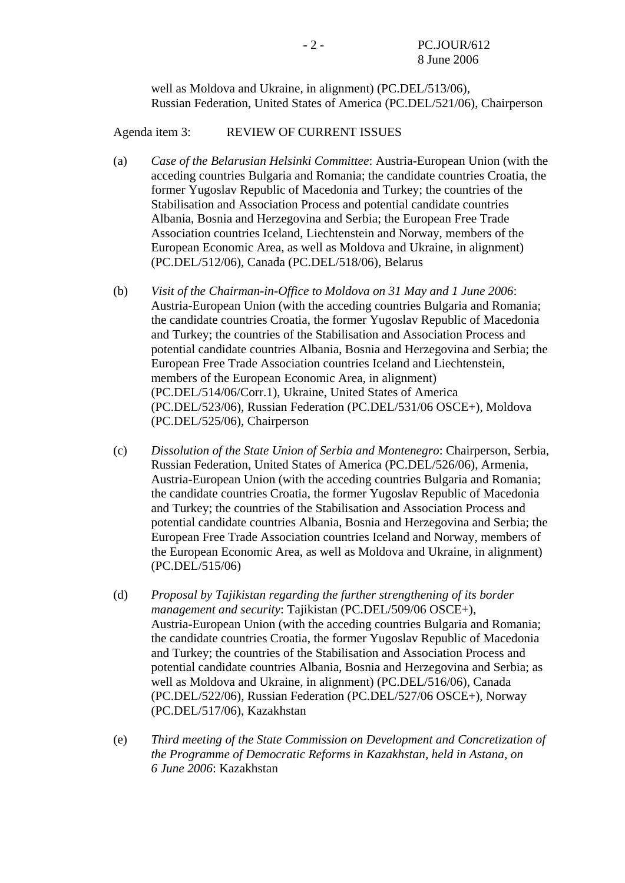well as Moldova and Ukraine, in alignment) (PC.DEL/513/06), Russian Federation, United States of America (PC.DEL/521/06), Chairperson

Agenda item 3: REVIEW OF CURRENT ISSUES

- (a) *Case of the Belarusian Helsinki Committee*: Austria-European Union (with the acceding countries Bulgaria and Romania; the candidate countries Croatia, the former Yugoslav Republic of Macedonia and Turkey; the countries of the Stabilisation and Association Process and potential candidate countries Albania, Bosnia and Herzegovina and Serbia; the European Free Trade Association countries Iceland, Liechtenstein and Norway, members of the European Economic Area, as well as Moldova and Ukraine, in alignment) (PC.DEL/512/06), Canada (PC.DEL/518/06), Belarus
- (b) *Visit of the Chairman-in-Office to Moldova on 31 May and 1 June 2006*: Austria-European Union (with the acceding countries Bulgaria and Romania; the candidate countries Croatia, the former Yugoslav Republic of Macedonia and Turkey; the countries of the Stabilisation and Association Process and potential candidate countries Albania, Bosnia and Herzegovina and Serbia; the European Free Trade Association countries Iceland and Liechtenstein, members of the European Economic Area, in alignment) (PC.DEL/514/06/Corr.1), Ukraine, United States of America (PC.DEL/523/06), Russian Federation (PC.DEL/531/06 OSCE+), Moldova (PC.DEL/525/06), Chairperson
- (c) *Dissolution of the State Union of Serbia and Montenegro*: Chairperson, Serbia, Russian Federation, United States of America (PC.DEL/526/06), Armenia, Austria-European Union (with the acceding countries Bulgaria and Romania; the candidate countries Croatia, the former Yugoslav Republic of Macedonia and Turkey; the countries of the Stabilisation and Association Process and potential candidate countries Albania, Bosnia and Herzegovina and Serbia; the European Free Trade Association countries Iceland and Norway, members of the European Economic Area, as well as Moldova and Ukraine, in alignment) (PC.DEL/515/06)
- (d) *Proposal by Tajikistan regarding the further strengthening of its border management and security*: Tajikistan (PC.DEL/509/06 OSCE+), Austria-European Union (with the acceding countries Bulgaria and Romania; the candidate countries Croatia, the former Yugoslav Republic of Macedonia and Turkey; the countries of the Stabilisation and Association Process and potential candidate countries Albania, Bosnia and Herzegovina and Serbia; as well as Moldova and Ukraine, in alignment) (PC.DEL/516/06), Canada (PC.DEL/522/06), Russian Federation (PC.DEL/527/06 OSCE+), Norway (PC.DEL/517/06), Kazakhstan
- (e) *Third meeting of the State Commission on Development and Concretization of the Programme of Democratic Reforms in Kazakhstan, held in Astana, on 6 June 2006*: Kazakhstan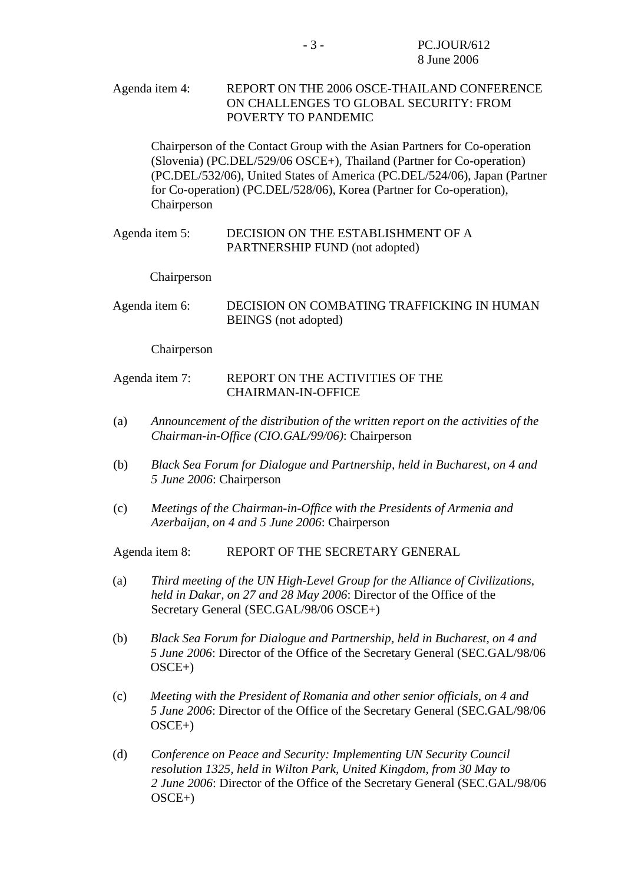Agenda item 4: REPORT ON THE 2006 OSCE-THAILAND CONFERENCE ON CHALLENGES TO GLOBAL SECURITY: FROM POVERTY TO PANDEMIC

Chairperson of the Contact Group with the Asian Partners for Co-operation (Slovenia) (PC.DEL/529/06 OSCE+), Thailand (Partner for Co-operation) (PC.DEL/532/06), United States of America (PC.DEL/524/06), Japan (Partner for Co-operation) (PC.DEL/528/06), Korea (Partner for Co-operation), Chairperson

#### Agenda item 5: DECISION ON THE ESTABLISHMENT OF A PARTNERSHIP FUND (not adopted)

Chairperson

Agenda item 6: DECISION ON COMBATING TRAFFICKING IN HUMAN BEINGS (not adopted)

Chairperson

#### Agenda item 7: REPORT ON THE ACTIVITIES OF THE CHAIRMAN-IN-OFFICE

- (a) *Announcement of the distribution of the written report on the activities of the Chairman-in-Office (CIO.GAL/99/06)*: Chairperson
- (b) *Black Sea Forum for Dialogue and Partnership, held in Bucharest, on 4 and 5 June 2006*: Chairperson
- (c) *Meetings of the Chairman-in-Office with the Presidents of Armenia and Azerbaijan, on 4 and 5 June 2006*: Chairperson

Agenda item 8: REPORT OF THE SECRETARY GENERAL

- (a) *Third meeting of the UN High-Level Group for the Alliance of Civilizations, held in Dakar, on 27 and 28 May 2006*: Director of the Office of the Secretary General (SEC.GAL/98/06 OSCE+)
- (b) *Black Sea Forum for Dialogue and Partnership, held in Bucharest, on 4 and 5 June 2006*: Director of the Office of the Secretary General (SEC.GAL/98/06 OSCE+)
- (c) *Meeting with the President of Romania and other senior officials, on 4 and 5 June 2006*: Director of the Office of the Secretary General (SEC.GAL/98/06 OSCE+)
- (d) *Conference on Peace and Security: Implementing UN Security Council resolution 1325, held in Wilton Park, United Kingdom, from 30 May to 2 June 2006*: Director of the Office of the Secretary General (SEC.GAL/98/06 OSCE+)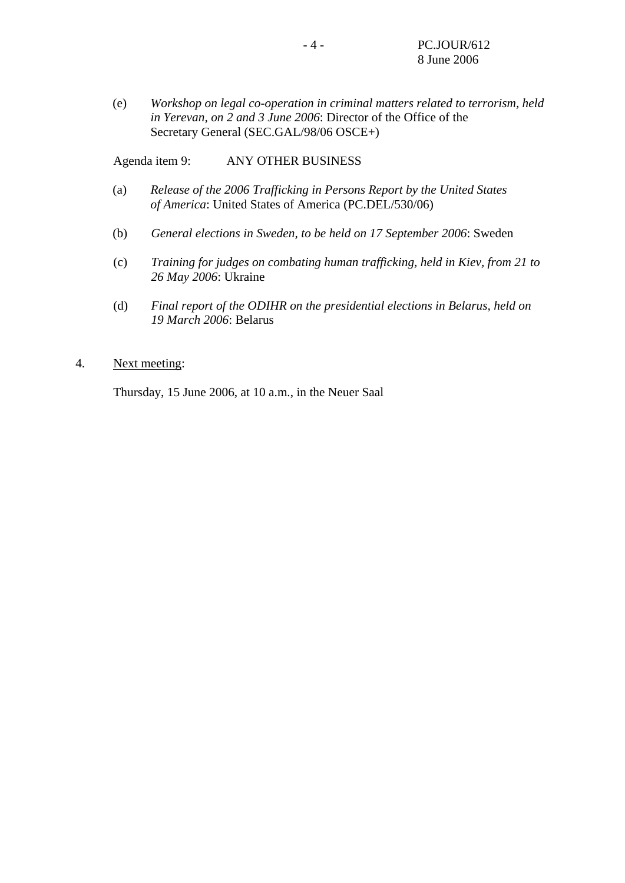(e) *Workshop on legal co-operation in criminal matters related to terrorism, held in Yerevan, on 2 and 3 June 2006*: Director of the Office of the Secretary General (SEC.GAL/98/06 OSCE+)

Agenda item 9: ANY OTHER BUSINESS

- (a) *Release of the 2006 Trafficking in Persons Report by the United States of America*: United States of America (PC.DEL/530/06)
- (b) *General elections in Sweden, to be held on 17 September 2006*: Sweden
- (c) *Training for judges on combating human trafficking, held in Kiev, from 21 to 26 May 2006*: Ukraine
- (d) *Final report of the ODIHR on the presidential elections in Belarus, held on 19 March 2006*: Belarus

#### 4. Next meeting:

Thursday, 15 June 2006, at 10 a.m., in the Neuer Saal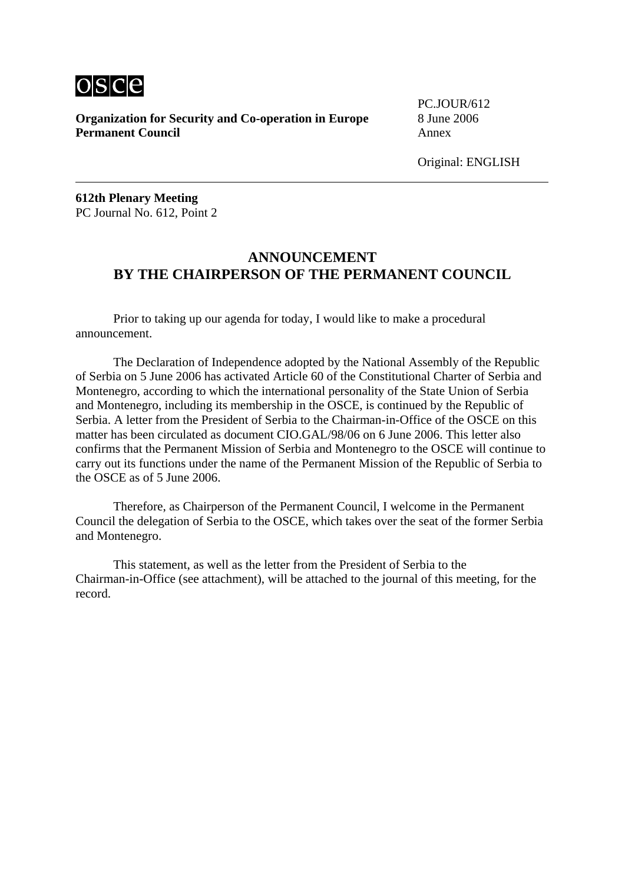

**Organization for Security and Co-operation in Europe** 8 June 2006 **Permanent Council Annex** 

PC.JOUR/612

**612th Plenary Meeting**  PC Journal No. 612, Point 2

## **ANNOUNCEMENT BY THE CHAIRPERSON OF THE PERMANENT COUNCIL**

 Prior to taking up our agenda for today, I would like to make a procedural announcement.

 The Declaration of Independence adopted by the National Assembly of the Republic of Serbia on 5 June 2006 has activated Article 60 of the Constitutional Charter of Serbia and Montenegro, according to which the international personality of the State Union of Serbia and Montenegro, including its membership in the OSCE, is continued by the Republic of Serbia. A letter from the President of Serbia to the Chairman-in-Office of the OSCE on this matter has been circulated as document CIO.GAL/98/06 on 6 June 2006. This letter also confirms that the Permanent Mission of Serbia and Montenegro to the OSCE will continue to carry out its functions under the name of the Permanent Mission of the Republic of Serbia to the OSCE as of 5 June 2006.

 Therefore, as Chairperson of the Permanent Council, I welcome in the Permanent Council the delegation of Serbia to the OSCE, which takes over the seat of the former Serbia and Montenegro.

 This statement, as well as the letter from the President of Serbia to the Chairman-in-Office (see attachment), will be attached to the journal of this meeting, for the record.